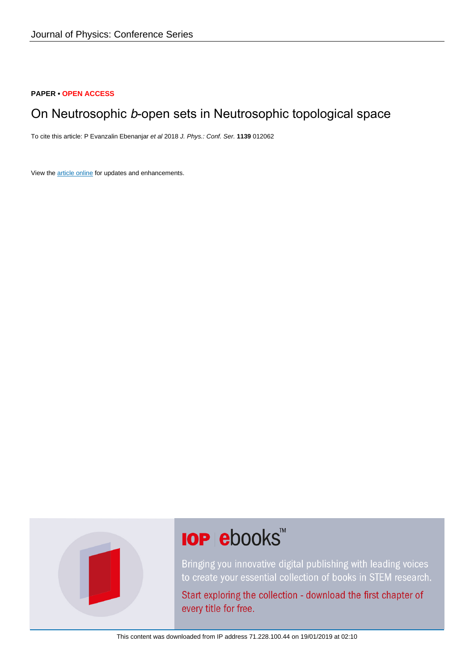#### **PAPER • OPEN ACCESS**

### On Neutrosophic b-open sets in Neutrosophic topological space

To cite this article: P Evanzalin Ebenanjar et al 2018 J. Phys.: Conf. Ser. **1139** 012062

View the [article online](https://doi.org/10.1088/1742-6596/1139/1/012062) for updates and enhancements.



# **IOP ebooks™**

Bringing you innovative digital publishing with leading voices to create your essential collection of books in STEM research.

Start exploring the collection - download the first chapter of every title for free.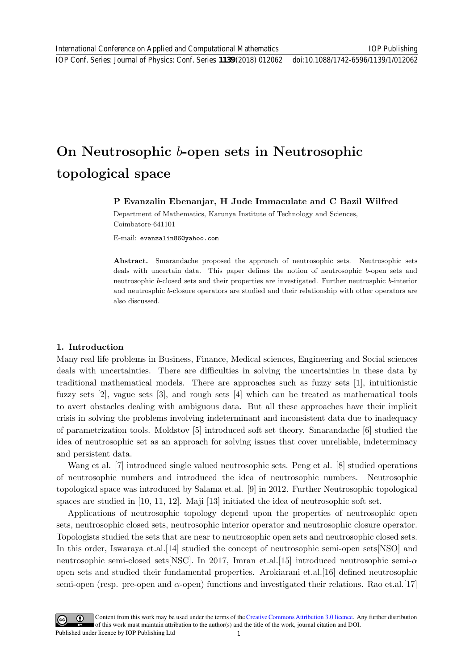## On Neutrosophic b-open sets in Neutrosophic topological space

#### P Evanzalin Ebenanjar, H Jude Immaculate and C Bazil Wilfred

Department of Mathematics, Karunya Institute of Technology and Sciences, Coimbatore-641101

E-mail: evanzalin86@yahoo.com

Abstract. Smarandache proposed the approach of neutrosophic sets. Neutrosophic sets deals with uncertain data. This paper defines the notion of neutrosophic b-open sets and neutrosophic b-closed sets and their properties are investigated. Further neutrosphic b-interior and neutrosphic b-closure operators are studied and their relationship with other operators are also discussed.

#### 1. Introduction

Many real life problems in Business, Finance, Medical sciences, Engineering and Social sciences deals with uncertainties. There are difficulties in solving the uncertainties in these data by traditional mathematical models. There are approaches such as fuzzy sets [1], intuitionistic fuzzy sets [2], vague sets [3], and rough sets [4] which can be treated as mathematical tools to avert obstacles dealing with ambiguous data. But all these approaches have their implicit crisis in solving the problems involving indeterminant and inconsistent data due to inadequacy of parametrization tools. Moldstov [5] introduced soft set theory. Smarandache [6] studied the idea of neutrosophic set as an approach for solving issues that cover unreliable, indeterminacy and persistent data.

Wang et al. [7] introduced single valued neutrosophic sets. Peng et al. [8] studied operations of neutrosophic numbers and introduced the idea of neutrosophic numbers. Neutrosophic topological space was introduced by Salama et.al. [9] in 2012. Further Neutrosophic topological spaces are studied in [10, 11, 12]. Maji [13] initiated the idea of neutrosophic soft set.

Applications of neutrosophic topology depend upon the properties of neutrosophic open sets, neutrosophic closed sets, neutrosophic interior operator and neutrosophic closure operator. Topologists studied the sets that are near to neutrosophic open sets and neutrosophic closed sets. In this order, Iswaraya et.al.[14] studied the concept of neutrosophic semi-open sets[NSO] and neutrosophic semi-closed sets[NSC]. In 2017, Imran et.al.[15] introduced neutrosophic semi- $\alpha$ open sets and studied their fundamental properties. Arokiarani et.al.[16] defined neutrosophic semi-open (resp. pre-open and  $\alpha$ -open) functions and investigated their relations. Rao et.al.[17]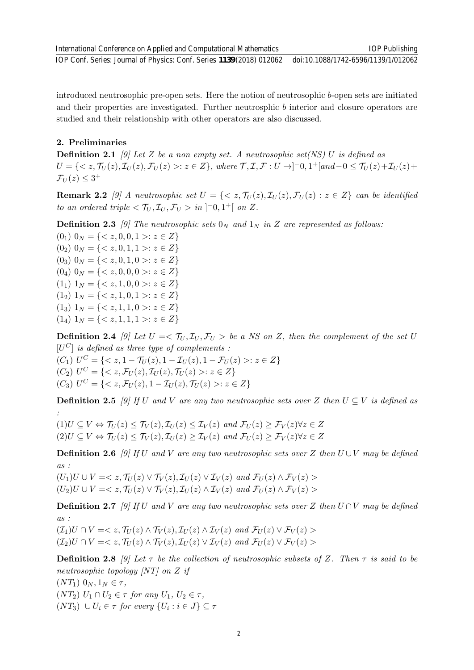IOP Conf. Series: Journal of Physics: Conf. Series **1139** (2018) 012062 doi:10.1088/1742-6596/1139/1/012062

introduced neutrosophic pre-open sets. Here the notion of neutrosophic b-open sets are initiated and their properties are investigated. Further neutrosphic b interior and closure operators are studied and their relationship with other operators are also discussed.

#### 2. Preliminaries

**Definition 2.1** [9] Let Z be a non empty set. A neutrosophic set(NS) U is defined as  $U = \{ \langle z, \mathcal{T}_U(z), \mathcal{I}_U(z), \mathcal{F}_U(z) \rangle : z \in Z \}, \text{ where } \mathcal{T}, \mathcal{I}, \mathcal{F} : U \to ]-0, 1^+[\text{and}-0 \leq \mathcal{T}_U(z) + \mathcal{I}_U(z) + \mathcal{I}_U(z) \}$  $\mathcal{F}_U(z) \leq 3^+$ 

**Remark 2.2** [9] A neutrosophic set  $U = \{ \langle z, \mathcal{T}_U(z), \mathcal{I}_U(z), \mathcal{F}_U(z) : z \in Z \}$  can be identified to an ordered triple  $\langle \mathcal{T}_U, \mathcal{I}_U, \mathcal{F}_U \rangle$  in  $]$ <sup>-</sup>0,1<sup>+</sup>[ on Z.

**Definition 2.3** [9] The neutrosophic sets  $0_N$  and  $1_N$  in Z are represented as follows:

 $(0_1)$   $0_N = \{ < z, 0, 0, 1 >: z \in Z \}$  $(0_2)$   $0_N = \{  : z \in Z \}$  $(0_3)$   $0_N = \{  : z \in Z \}$ (0<sub>4</sub>)  $0_N = \{  : z \in Z \}$  $(1_1)$   $1_N = \{ < z, 1, 0, 0 >: z \in Z \}$  $(1_2)$   $1_N = \{  : z \in Z \}$  $(1_3) 1_N = \{  : z \in Z \}$  $(1_4)$   $1_N = \{ < z, 1, 1, 1 >: z \in Z \}$ 

**Definition 2.4** [9] Let  $U = \mathcal{T}_U, \mathcal{I}_U, \mathcal{F}_U >$  be a NS on Z, then the complement of the set U  $[U^C]$  is defined as three type of complements :

 $(C_1)$   $U^C = \{ < z, 1 - \mathcal{T}_U(z), 1 - \mathcal{I}_U(z), 1 - \mathcal{F}_U(z) > : z \in Z \}$  $(C_2)$   $U^C = \{ \langle z, \mathcal{F}_U(z), \mathcal{I}_U(z), \mathcal{T}_U(z) \rangle : z \in Z \}$  $(C_3)$   $U^C = \{ \langle z, \mathcal{F}_U(z), 1 - \mathcal{I}_U(z), \mathcal{T}_U(z) \rangle : z \in Z \}$ 

**Definition 2.5** [9] If U and V are any two neutrosophic sets over Z then  $U \subseteq V$  is defined as :

 $(1)U \subseteq V \Leftrightarrow \mathcal{T}_U(z) \leq \mathcal{T}_V(z), \mathcal{I}_U(z) \leq \mathcal{I}_V(z)$  and  $\mathcal{F}_U(z) \geq \mathcal{F}_V(z) \forall z \in Z$  $(2)U \subseteq V \Leftrightarrow \mathcal{T}_U(z) \leq \mathcal{T}_V(z), \mathcal{I}_U(z) \geq \mathcal{I}_V(z)$  and  $\mathcal{F}_U(z) \geq \mathcal{F}_V(z) \forall z \in Z$ 

**Definition 2.6** [9] If U and V are any two neutrosophic sets over Z then  $U \cup V$  may be defined as :

 $(U_1)U \cup V = \langle z, \mathcal{T}_{U}(z) \vee \mathcal{T}_{V}(z), \mathcal{I}_{U}(z) \vee \mathcal{I}_{V}(z) \text{ and } \mathcal{F}_{U}(z) \wedge \mathcal{F}_{V}(z) \rangle$  $(U_2)U \cup V = \langle z, \mathcal{T}_U(z) \vee \mathcal{T}_V(z), \mathcal{I}_U(z) \wedge \mathcal{I}_V(z) \text{ and } \mathcal{F}_U(z) \wedge \mathcal{F}_V(z) \rangle$ 

**Definition 2.7** [9] If U and V are any two neutrosophic sets over Z then  $U \cap V$  may be defined as :

 $(\mathcal{I}_1)U \cap V = \langle z, \mathcal{T}_{U}(z) \wedge \mathcal{T}_{V}(z), \mathcal{I}_{U}(z) \wedge \mathcal{I}_{V}(z) \text{ and } \mathcal{F}_{U}(z) \vee \mathcal{F}_{V}(z) \rangle$  $(\mathcal{I}_2)U \cap V = \langle z, \mathcal{T}_U(z) \wedge \mathcal{T}_V(z), \mathcal{I}_U(z) \vee \mathcal{I}_V(z) \text{ and } \mathcal{F}_U(z) \vee \mathcal{F}_V(z) \rangle$ 

**Definition 2.8** [9] Let  $\tau$  be the collection of neutrosophic subsets of Z. Then  $\tau$  is said to be neutrosophic topology [NT] on Z if

 $(NT_1)$   $0_N, 1_N \in \tau$ ,  $(NT_2)$   $U_1 \cap U_2 \in \tau$  for any  $U_1, U_2 \in \tau$ ,  $(NT_3) \cup U_i \in \tau$  for every  $\{U_i : i \in J\} \subseteq \tau$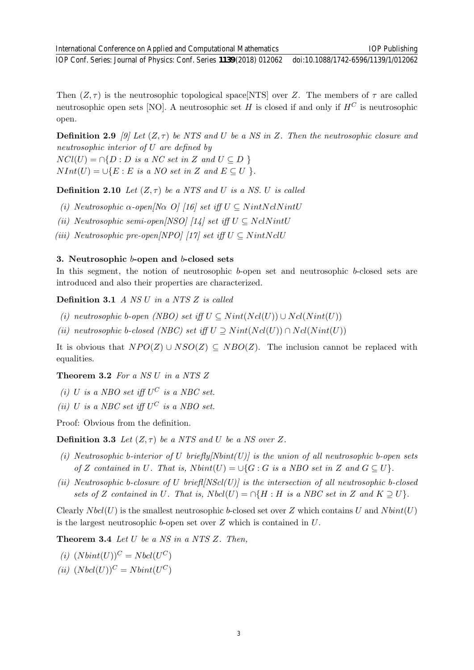IOP Conf. Series: Journal of Physics: Conf. Series **1139** (2018) 012062 doi:10.1088/1742-6596/1139/1/012062

Then  $(Z, \tau)$  is the neutrosophic topological space NTS over Z. The members of  $\tau$  are called neutrosophic open sets [NO]. A neutrosophic set H is closed if and only if  $H^C$  is neutrosophic open.

**Definition 2.9** [9] Let  $(Z, \tau)$  be NTS and U be a NS in Z. Then the neutrosophic closure and neutrosophic interior of U are defined by

 $NCl(U) = \bigcap \{D : D \text{ is a NC set in } Z \text{ and } U \subseteq D \}$  $NInt(U) = \bigcup \{E : E \text{ is a NO set in } Z \text{ and } E \subseteq U \}.$ 

**Definition 2.10** Let  $(Z, \tau)$  be a NTS and U is a NS. U is called

- (i) Neutrosophic  $\alpha$ -open[N $\alpha$  O] [16] set iff  $U \subseteq NintNclNintU$
- (ii) Neutrosophic semi-open $|NSO|$  [14] set iff  $U \subseteq NclNintU$
- (iii) Neutrosophic pre-open[NPO] [17] set iff  $U \subseteq NintN$ clU

#### 3. Neutrosophic b-open and b-closed sets

In this segment, the notion of neutrosophic b-open set and neutrosophic b-closed sets are introduced and also their properties are characterized.

Definition 3.1 A NS U in a NTS Z is called

- (i) neutrosophic b-open (NBO) set iff  $U \subseteq Nint(Ncl(U)) \cup Ncl(Nint(U))$
- (ii) neutrosophic b-closed (NBC) set iff  $U \supseteq Nint(Ncl(U)) \cap Ncl(Nint(U))$

It is obvious that  $NPO(Z) \cup NSO(Z) \subseteq NBO(Z)$ . The inclusion cannot be replaced with equalities.

#### **Theorem 3.2** For a NS U in a NTS  $Z$

- (i) U is a NBO set iff  $U^C$  is a NBC set.
- (ii) U is a NBC set iff  $U^C$  is a NBO set.

Proof: Obvious from the definition.

**Definition 3.3** Let  $(Z, \tau)$  be a NTS and U be a NS over Z.

- (i) Neutrosophic b-interior of U briefly  $\text{Nbin}(U)$  is the union of all neutrosophic b-open sets of Z contained in U. That is,  $N \text{bint}(U) = \bigcup \{G : G \text{ is a NBO set in } Z \text{ and } G \subseteq U\}.$
- (ii) Neutrosophic b-closure of U briefl $|NScl(U)|$  is the intersection of all neutrosophic b-closed sets of Z contained in U. That is,  $N bcl(U) = \bigcap \{H : H$  is a NBC set in Z and  $K \supseteq U\}$ .

Clearly  $N \text{bcl}(U)$  is the smallest neutrosophic b-closed set over Z which contains U and  $N \text{bint}(U)$ is the largest neutrosophic  $b$ -open set over  $Z$  which is contained in  $U$ .

**Theorem 3.4** Let U be a NS in a NTS Z. Then,

- (i)  $(Nbint(U))^C = Nbd(U^C)$
- (ii)  $(Nbcl(U))^C = Nbint(U^C)$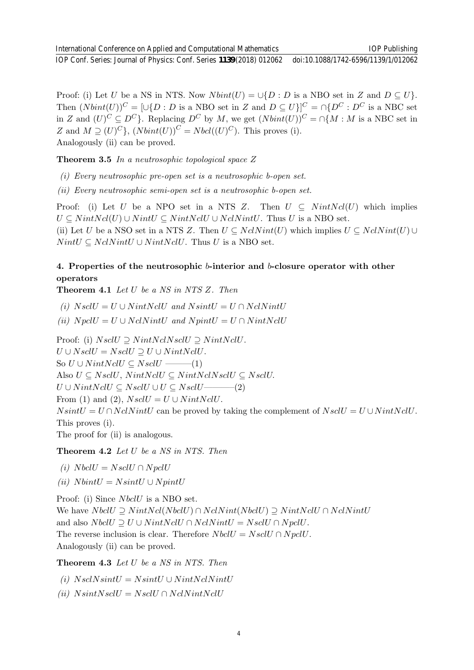IOP Conf. Series: Journal of Physics: Conf. Series **1139** (2018) 012062 doi:10.1088/1742-6596/1139/1/012062

Proof: (i) Let U be a NS in NTS. Now  $N \text{bint}(U) = \bigcup \{D : D$  is a NBO set in Z and  $D \subseteq U\}$ . Then  $(Nbint(U))^C = [\cup \{D : D \text{ is a NBO set in } Z \text{ and } D \subseteq U\}]^C = \cap \{D^C : D^C \text{ is a NBC set }\}$ in Z and  $(U)^C \subseteq D^C$ . Replacing  $D^C$  by M, we get  $(Nbint(U))^C = \cap \{M : M$  is a NBC set in Z and  $M \supseteq (U)^{C}$ ,  $(Nbint(U))^{C} = Nbcl((U)^{C})$ . This proves (i). Analogously (ii) can be proved.

**Theorem 3.5** In a neutrosophic topological space  $Z$ 

(i) Every neutrosophic pre-open set is a neutrosophic b-open set.

(ii) Every neutrosophic semi-open set is a neutrosophic b-open set.

Proof: (i) Let U be a NPO set in a NTS Z. Then  $U \subseteq NintNcl(U)$  which implies  $U \subseteq NintNcl(U) \cup NintU \subseteq NintNclU \cup NclNintU$ . Thus U is a NBO set. (ii) Let U be a NSO set in a NTS Z. Then  $U \subseteq NclNint(U)$  which implies  $U \subseteq NclNint(U) \cup$  $NintU \subseteq NclNintU \cup NintNclU$ . Thus U is a NBO set.

#### 4. Properties of the neutrosophic b-interior and b-closure operator with other operators

**Theorem 4.1** Let  $U$  be a NS in NTS  $Z$ . Then

(i)  $NsclU = U \cup NintNclU$  and  $NsintU = U \cap NclNintU$ 

(ii)  $N \text{poly} = U \cup N \text{cl} \text{N} \text{int} \text{U}$  and  $N \text{pint} \text{U} = U \cap N \text{int} \text{N} \text{cl} \text{U}$ 

Proof: (i)  $NsclU \supseteq NintNclNsclU \supseteq NintNclU$ .  $U \cup NsclU = NsclU \supseteq U \cup NintNclU.$ So  $U \cup NintNclU \subseteq NsclU$  ——(1) Also  $U \subseteq NsclU$ ,  $NintNclU \subseteq NintNclU \subseteq NsclU$ .  $U \cup NintN$ cl $U \subseteq NsclU \cup U \subseteq NsclU$ ———(2) From (1) and (2),  $NsclU = U \cup NintNclU$ .  $N\text{sin}tU = U \cap N\text{d}N\text{int}U$  can be proved by taking the complement of  $N\text{sd}U = U \cup N\text{int}N\text{d}U$ . This proves (i). The proof for (ii) is analogous.

Theorem 4.2 Let U be a NS in NTS. Then

- (i)  $N$  bcl $U = N$  scl $U \cap N$  pcl $U$
- (ii)  $N \text{bint}U = N \text{sin}tU \cup N \text{pint}U$

Proof: (i) Since *NbclU* is a NBO set. We have  $N$ bcl $U \supseteq N$ int $N$ cl( $N$ bcl $U$ ) ∩  $N$ cl $N$ int( $N$ bcl $U$ )  $\supseteq N$ int $N$ cl $U \cap N$ cl $N$ int $U$ and also  $N \text{bcl} U \supseteq U \cup N \text{int} N \text{cl} U \cap N \text{cl} N \text{int} U = N \text{scl} U \cap N \text{pcl} U.$ The reverse inclusion is clear. Therefore  $NbdU = NscU \cap NpdU$ . Analogously (ii) can be proved.

Theorem 4.3 Let U be a NS in NTS. Then

(i)  $NsclN sintU = N sintU \cup NintNclNintU$ 

(ii)  $N\text{sinth}N\text{sc}lU = N\text{sc}lU \cap N\text{ch}N\text{int}N\text{cl}U$